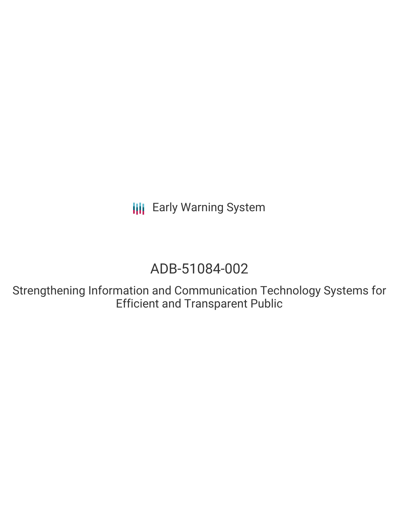**III** Early Warning System

# ADB-51084-002

Strengthening Information and Communication Technology Systems for Efficient and Transparent Public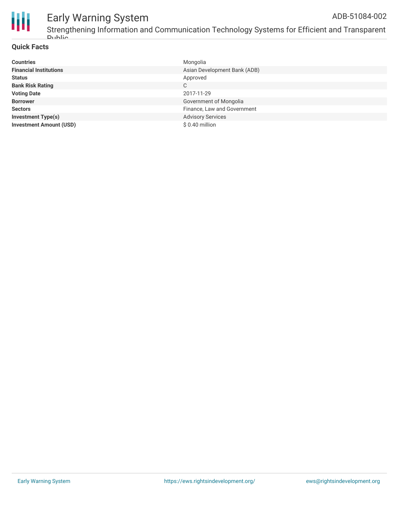

#### Early Warning System ADB-51084-002

Strengthening Information and Communication Technology Systems for Efficient and Transparent Public

#### **Quick Facts**

| <b>Countries</b>               | Mongolia                     |
|--------------------------------|------------------------------|
| <b>Financial Institutions</b>  | Asian Development Bank (ADB) |
| <b>Status</b>                  | Approved                     |
| <b>Bank Risk Rating</b>        | C                            |
| <b>Voting Date</b>             | 2017-11-29                   |
| <b>Borrower</b>                | Government of Mongolia       |
| <b>Sectors</b>                 | Finance, Law and Government  |
| <b>Investment Type(s)</b>      | <b>Advisory Services</b>     |
| <b>Investment Amount (USD)</b> | \$0.40 million               |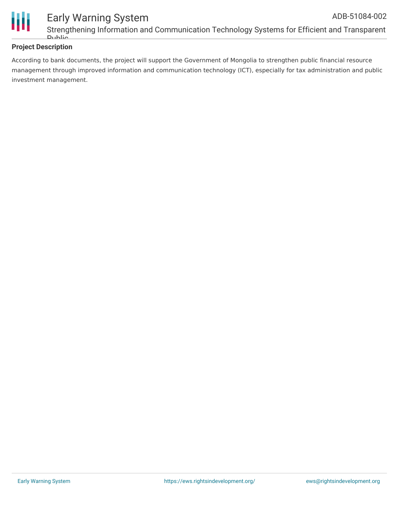

#### **Project Description**

According to bank documents, the project will support the Government of Mongolia to strengthen public financial resource management through improved information and communication technology (ICT), especially for tax administration and public investment management.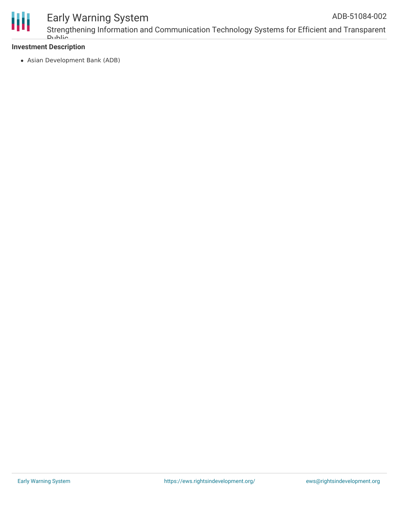

## Early Warning System

#### **Investment Description**

Asian Development Bank (ADB)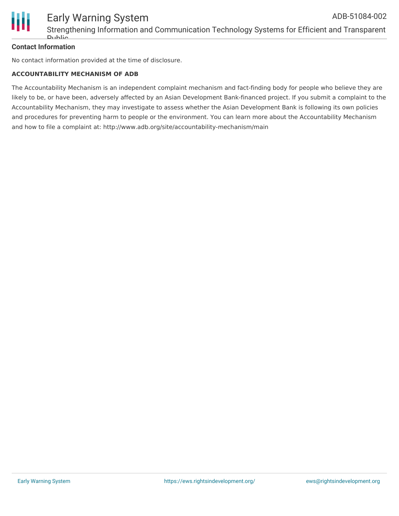

#### **Contact Information**

No contact information provided at the time of disclosure.

#### **ACCOUNTABILITY MECHANISM OF ADB**

The Accountability Mechanism is an independent complaint mechanism and fact-finding body for people who believe they are likely to be, or have been, adversely affected by an Asian Development Bank-financed project. If you submit a complaint to the Accountability Mechanism, they may investigate to assess whether the Asian Development Bank is following its own policies and procedures for preventing harm to people or the environment. You can learn more about the Accountability Mechanism and how to file a complaint at: http://www.adb.org/site/accountability-mechanism/main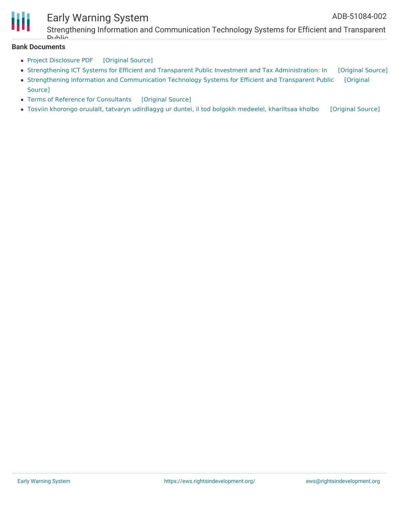

### Early Warning System

Strengthening Information and Communication Technology Systems for Efficient and Transparent **Dublic** 

#### **Bank Documents**

- Project [Disclosure](https://ewsdata.rightsindevelopment.org/files/documents/02/ADB-51084-002.pdf) PDF [\[Original](https://www.adb.org/printpdf/projects/51084-002/main) Source]
- Strengthening ICT Systems for Efficient and Transparent Public Investment and Tax [Administration:](https://ewsdata.rightsindevelopment.org/files/documents/02/ADB-51084-002_T5ybvVO.pdf) In [\[Original](https://www.adb.org/projects/documents/mon-51084-001-ipsa) Source]
- Strengthening Information and [Communication](https://ewsdata.rightsindevelopment.org/files/documents/02/ADB-51084-002_ymsSVZ7.pdf) Technology Systems for Efficient and Transparent Public [Original Source]
- Terms of Reference for [Consultants](https://ewsdata.rightsindevelopment.org/files/documents/02/ADB-51084-002_wNfNFMc.pdf) [\[Original](https://www.adb.org/projects/documents/mon-51084-001-cp) Source]
- Tosviin khorongo oruulalt, tatvaryn [udirdlagyg](https://ewsdata.rightsindevelopment.org/files/documents/02/ADB-51084-002_32Us052.pdf) ur duntei, il tod bolgokh medeelel, khariltsaa kholbo [\[Original](https://www.adb.org/mn/projects/documents/mon-51084-002-pds) Source]